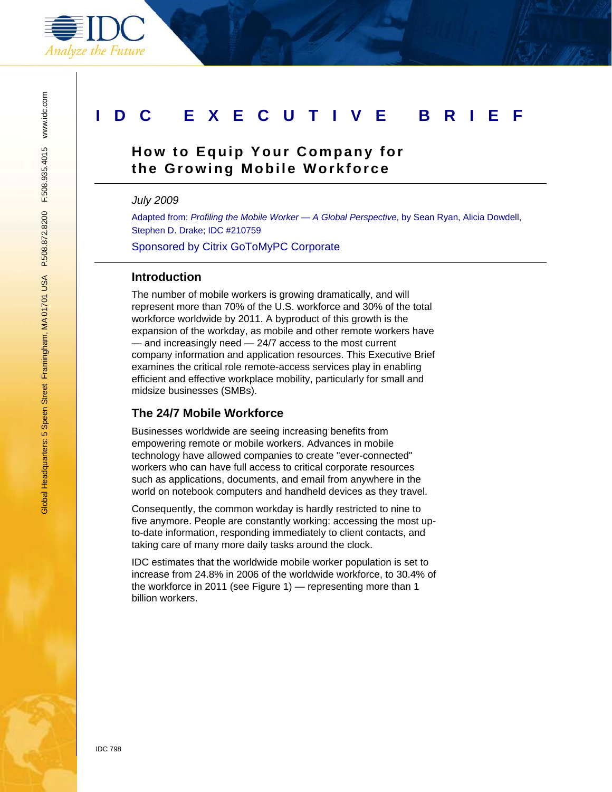

# **IDC EXECUTIVE BRIEF**

## **How to Equip Your Company for the Growing Mobile Workforce**

## *July 2009*

Adapted from: *Profiling the Mobile Worker — A Global Perspective*, by Sean Ryan, Alicia Dowdell, Stephen D. Drake; IDC #210759

Sponsored by Citrix GoToMyPC Corporate

## **Introduction**

The number of mobile workers is growing dramatically, and will represent more than 70% of the U.S. workforce and 30% of the total workforce worldwide by 2011. A byproduct of this growth is the expansion of the workday, as mobile and other remote workers have — and increasingly need — 24/7 access to the most current company information and application resources. This Executive Brief examines the critical role remote-access services play in enabling efficient and effective workplace mobility, particularly for small and midsize businesses (SMBs).

## **The 24/7 Mobile Workforce**

Businesses worldwide are seeing increasing benefits from empowering remote or mobile workers. Advances in mobile technology have allowed companies to create "ever-connected" workers who can have full access to critical corporate resources such as applications, documents, and email from anywhere in the world on notebook computers and handheld devices as they travel.

Consequently, the common workday is hardly restricted to nine to five anymore. People are constantly working: accessing the most upto-date information, responding immediately to client contacts, and taking care of many more daily tasks around the clock.

IDC estimates that the worldwide mobile worker population is set to increase from 24.8% in 2006 of the worldwide workforce, to 30.4% of the workforce in 2011 (see Figure 1) — representing more than 1 billion workers.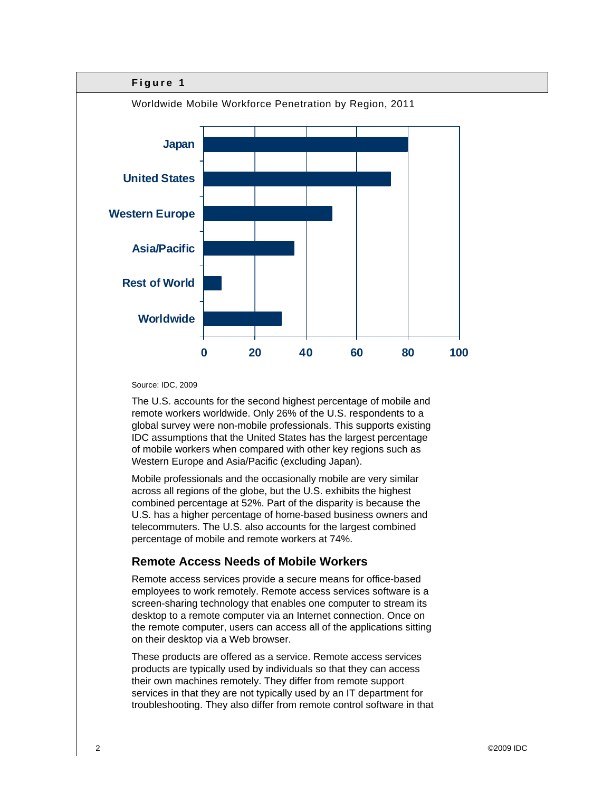

Source: IDC, 2009

The U.S. accounts for the second highest percentage of mobile and remote workers worldwide. Only 26% of the U.S. respondents to a global survey were non-mobile professionals. This supports existing IDC assumptions that the United States has the largest percentage of mobile workers when compared with other key regions such as Western Europe and Asia/Pacific (excluding Japan).

Mobile professionals and the occasionally mobile are very similar across all regions of the globe, but the U.S. exhibits the highest combined percentage at 52%. Part of the disparity is because the U.S. has a higher percentage of home-based business owners and telecommuters. The U.S. also accounts for the largest combined percentage of mobile and remote workers at 74%.

## **Remote Access Needs of Mobile Workers**

Remote access services provide a secure means for office-based employees to work remotely. Remote access services software is a screen-sharing technology that enables one computer to stream its desktop to a remote computer via an Internet connection. Once on the remote computer, users can access all of the applications sitting on their desktop via a Web browser.

These products are offered as a service. Remote access services products are typically used by individuals so that they can access their own machines remotely. They differ from remote support services in that they are not typically used by an IT department for troubleshooting. They also differ from remote control software in that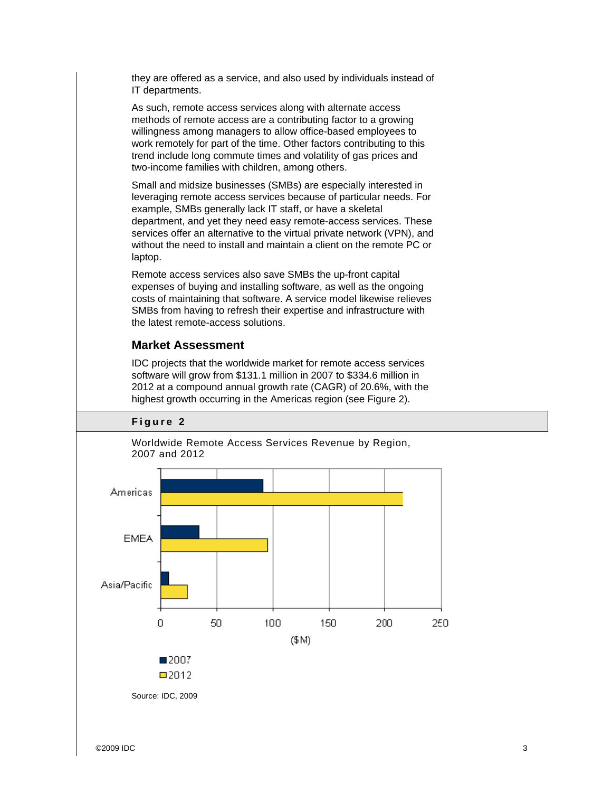they are offered as a service, and also used by individuals instead of IT departments.

As such, remote access services along with alternate access methods of remote access are a contributing factor to a growing willingness among managers to allow office-based employees to work remotely for part of the time. Other factors contributing to this trend include long commute times and volatility of gas prices and two-income families with children, among others.

Small and midsize businesses (SMBs) are especially interested in leveraging remote access services because of particular needs. For example, SMBs generally lack IT staff, or have a skeletal department, and yet they need easy remote-access services. These services offer an alternative to the virtual private network (VPN), and without the need to install and maintain a client on the remote PC or laptop.

Remote access services also save SMBs the up-front capital expenses of buying and installing software, as well as the ongoing costs of maintaining that software. A service model likewise relieves SMBs from having to refresh their expertise and infrastructure with the latest remote-access solutions.

#### **Market Assessment**

IDC projects that the worldwide market for remote access services software will grow from \$131.1 million in 2007 to \$334.6 million in 2012 at a compound annual growth rate (CAGR) of 20.6%, with the highest growth occurring in the Americas region (see Figure 2).



#### **Figure 2**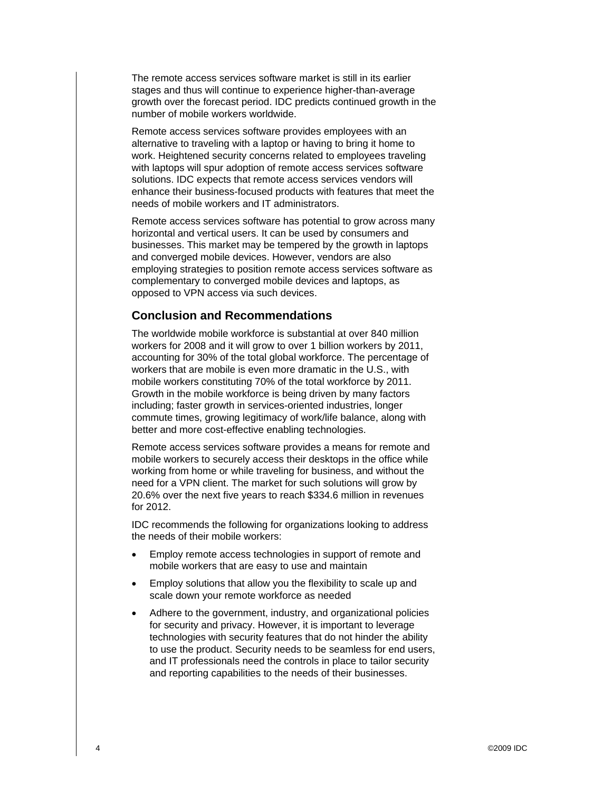The remote access services software market is still in its earlier stages and thus will continue to experience higher-than-average growth over the forecast period. IDC predicts continued growth in the number of mobile workers worldwide.

Remote access services software provides employees with an alternative to traveling with a laptop or having to bring it home to work. Heightened security concerns related to employees traveling with laptops will spur adoption of remote access services software solutions. IDC expects that remote access services vendors will enhance their business-focused products with features that meet the needs of mobile workers and IT administrators.

Remote access services software has potential to grow across many horizontal and vertical users. It can be used by consumers and businesses. This market may be tempered by the growth in laptops and converged mobile devices. However, vendors are also employing strategies to position remote access services software as complementary to converged mobile devices and laptops, as opposed to VPN access via such devices.

## **Conclusion and Recommendations**

The worldwide mobile workforce is substantial at over 840 million workers for 2008 and it will grow to over 1 billion workers by 2011, accounting for 30% of the total global workforce. The percentage of workers that are mobile is even more dramatic in the U.S., with mobile workers constituting 70% of the total workforce by 2011. Growth in the mobile workforce is being driven by many factors including; faster growth in services-oriented industries, longer commute times, growing legitimacy of work/life balance, along with better and more cost-effective enabling technologies.

Remote access services software provides a means for remote and mobile workers to securely access their desktops in the office while working from home or while traveling for business, and without the need for a VPN client. The market for such solutions will grow by 20.6% over the next five years to reach \$334.6 million in revenues for 2012.

IDC recommends the following for organizations looking to address the needs of their mobile workers:

- Employ remote access technologies in support of remote and mobile workers that are easy to use and maintain
- Employ solutions that allow you the flexibility to scale up and scale down your remote workforce as needed
- Adhere to the government, industry, and organizational policies for security and privacy. However, it is important to leverage technologies with security features that do not hinder the ability to use the product. Security needs to be seamless for end users, and IT professionals need the controls in place to tailor security and reporting capabilities to the needs of their businesses.